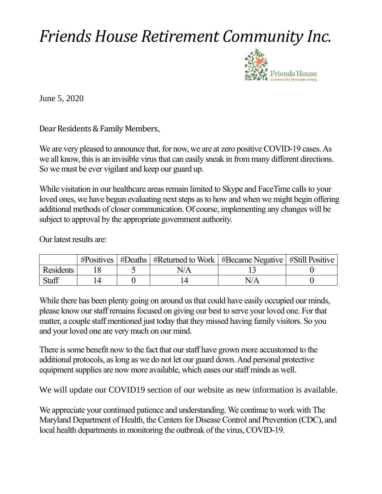## *Friends House Retirement Community Inc.*



June 5, 2020

Dear Residents & Family Members,

We are very pleased to announce that, for now, we are at zero positive COVID-19 cases. As we all know, this is an invisible virus that can easily sneak in from many different directions. So we must be ever vigilant and keep our guard up.

While visitation in our healthcare areas remain limited to Skype and FaceTime calls to your loved ones, we have begun evaluating next steps as to how and when we might begin offering additional methods of closer communication. Of course, implementing any changes will be subject to approval by the appropriate government authority.

Our latest results are:

|              |  | $\#Positives \mid \#Deaths \mid \#Returned to Work \mid \#Because Negative \mid \#Still Positive \mid$ |     |  |
|--------------|--|--------------------------------------------------------------------------------------------------------|-----|--|
| Residents    |  |                                                                                                        |     |  |
| <b>Staff</b> |  |                                                                                                        | N/A |  |

While there has been plenty going on around us that could have easily occupied our minds, please know our staff remains focused on giving our best to serve your loved one. For that matter, a couple staff mentioned just today that they missed having family visitors. So you and your loved one are very much on our mind.

There is some benefit now to the fact that our staff have grown more accustomed to the additional protocols, as long as we do not let our guard down. And personal protective equipment supplies are now more available, which eases our staff minds as well.

We will update our COVID19 section of our website as new information is available.

We appreciate your continued patience and understanding. We continue to work with The Maryland Department of Health, the Centers for Disease Control and Prevention (CDC), and local health departments in monitoring the outbreak of the virus, COVID-19.